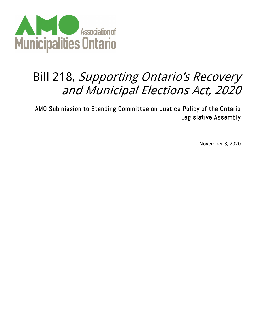

## Bill 218, Supporting Ontario's Recovery and Municipal Elections Act, 2020

AMO Submission to Standing Committee on Justice Policy of the Ontario Legislative Assembly

November 3, 2020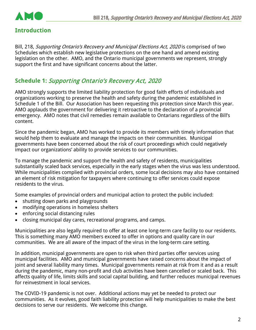

## **Introduction**

Bill, 218, Supporting Ontario's Recovery and Municipal Elections Act, 2020 is comprised of two Schedules which establish new legislative protections on the one hand and amend existing legislation on the other. AMO, and the Ontario municipal governments we represent, strongly support the first and have significant concerns about the latter.

## **Schedule 1:** Supporting Ontario's Recovery Act, 2020

AMO strongly supports the limited liability protection for good faith efforts of individuals and organizations working to preserve the health and safety during the pandemic established in Schedule 1 of the Bill. Our Association has been requesting this protection since March this year. AMO applauds the government for delivering it retroactive to the declaration of a provincial emergency. AMO notes that civil remedies remain available to Ontarians regardless of the Bill's content.

Since the pandemic began, AMO has worked to provide its members with timely information that would help them to evaluate and manage the impacts on their communities. Municipal governments have been concerned about the risk of court proceedings which could negatively impact our organizations' ability to provide services to our communities.

To manage the pandemic and support the health and safety of residents, municipalities substantially scaled back services, especially in the early stages when the virus was less understood. While municipalities complied with provincial orders, some local decisions may also have contained an element of risk mitigation for taxpayers where continuing to offer services could expose residents to the virus.

Some examples of provincial orders and municipal action to protect the public included:

- shutting down parks and playgrounds
- modifying operations in homeless shelters
- enforcing social distancing rules
- closing municipal day cares, recreational programs, and camps.

Municipalities are also legally required to offer at least one long-term care facility to our residents. This is something many AMO members exceed to offer in options and quality care in our communities. We are all aware of the impact of the virus in the long-term care setting.

In addition, municipal governments are open to risk when third parties offer services using municipal facilities. AMO and municipal governments have raised concerns about the impact of joint and several liability many times. Municipal governments remain at risk from it and as a result during the pandemic, many non-profit and club activities have been cancelled or scaled back. This affects quality of life, limits skills and social capital building, and further reduces municipal revenues for reinvestment in local services.

The COVID-19 pandemic is not over. Additional actions may yet be needed to protect our communities. As it evolves, good faith liability protection will help municipalities to make the best decisions to serve our residents. We welcome this change.